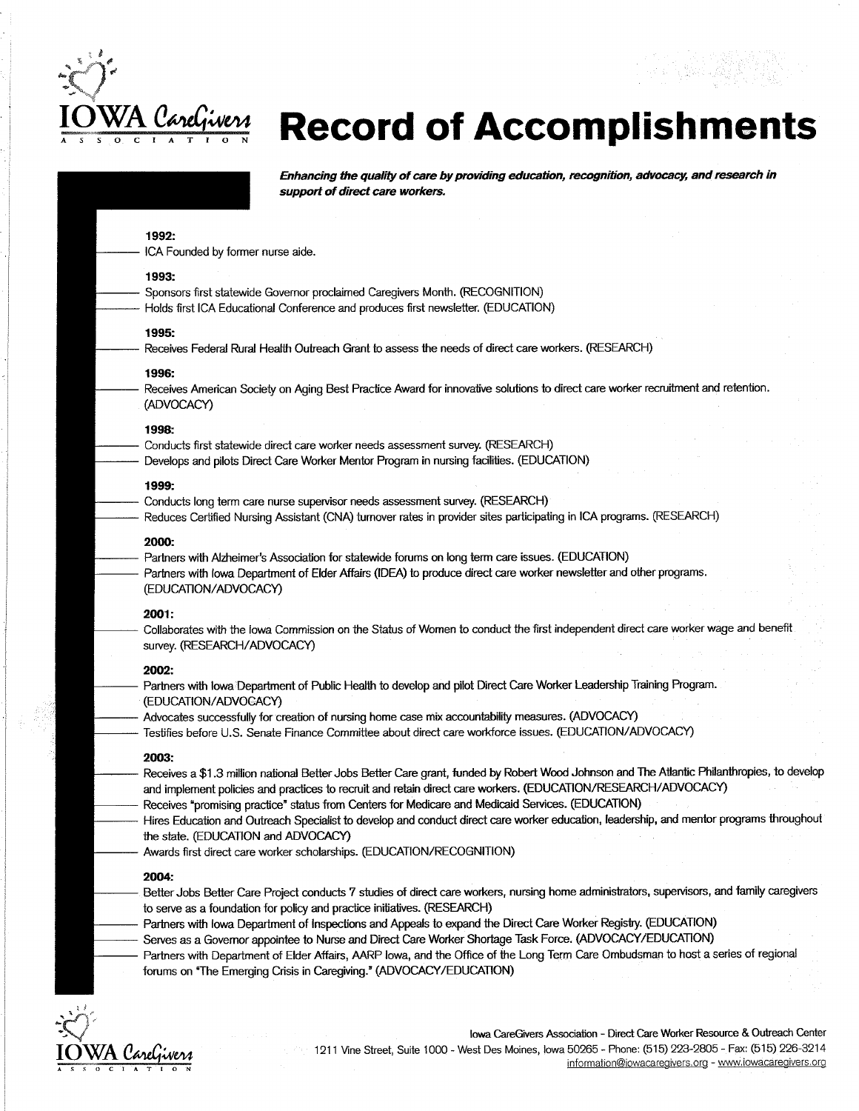

# WA CareGivera Record of Accomplishments

| 1992:                                                                                                                                                                                                                                         |  |
|-----------------------------------------------------------------------------------------------------------------------------------------------------------------------------------------------------------------------------------------------|--|
| ICA Founded by former nurse aide.                                                                                                                                                                                                             |  |
| 1993:                                                                                                                                                                                                                                         |  |
| Sponsors first statewide Governor proclaimed Caregivers Month. (RECOGNITION)<br>Holds first ICA Educational Conference and produces first newsletter. (EDUCATION)                                                                             |  |
| 1995:                                                                                                                                                                                                                                         |  |
| Receives Federal Rural Health Outreach Grant to assess the needs of direct care workers. (RESEARCH)                                                                                                                                           |  |
| 1996:                                                                                                                                                                                                                                         |  |
| Receives American Society on Aging Best Practice Award for innovative solutions to direct care worker recruitment and retention.<br>(ADVOCACY)                                                                                                |  |
| 1998:                                                                                                                                                                                                                                         |  |
| Conducts first statewide direct care worker needs assessment survey. (RESEARCH)                                                                                                                                                               |  |
| Develops and pilots Direct Care Worker Mentor Program in nursing facilities. (EDUCATION)                                                                                                                                                      |  |
| 1999:                                                                                                                                                                                                                                         |  |
| Conducts long term care nurse supervisor needs assessment survey. (RESEARCH)                                                                                                                                                                  |  |
| Reduces Certified Nursing Assistant (CNA) turnover rates in provider sites participating in ICA programs. (RESEARCH)                                                                                                                          |  |
| 2000:                                                                                                                                                                                                                                         |  |
| Partners with Alzheimer's Association for statewide forums on long term care issues. (EDUCATION)                                                                                                                                              |  |
| Partners with lowa Department of Elder Affairs (IDEA) to produce direct care worker newsletter and other programs.<br>(EDUCATION/ADVOCACY)                                                                                                    |  |
| 2001:                                                                                                                                                                                                                                         |  |
| Collaborates with the lowa Commission on the Status of Women to conduct the first independent direct care worker wage and benefit                                                                                                             |  |
| survey. (RESEARCH/ADVOCACY)                                                                                                                                                                                                                   |  |
| 2002:                                                                                                                                                                                                                                         |  |
| Partners with lowa Department of Public Health to develop and pilot Direct Care Worker Leadership Training Program.<br>(EDUCATION/ADVOCACY)                                                                                                   |  |
| Advocates successfully for creation of nursing home case mix accountability measures. (ADVOCACY)                                                                                                                                              |  |
| Testifies before U.S. Senate Finance Committee about direct care workforce issues. (EDUCATION/ADVOCACY)                                                                                                                                       |  |
| 2003:                                                                                                                                                                                                                                         |  |
| Receives a \$1.3 million national Better Jobs Better Care grant, funded by Robert Wood Johnson and The Atlantic Philanthropies, to develop                                                                                                    |  |
| and implement policies and practices to recruit and retain direct care workers. (EDUCATION/RESEARCH/ADVOCACY)<br>Receives "promising practice" status from Centers for Medicare and Medicaid Services. (EDUCATION)                            |  |
| Hires Education and Outreach Specialist to develop and conduct direct care worker education, leadership, and mentor programs throughout                                                                                                       |  |
| the state. (EDUCATION and ADVOCACY)                                                                                                                                                                                                           |  |
| Awards first direct care worker scholarships. (EDUCATION/RECOGNITION)                                                                                                                                                                         |  |
| 2004:                                                                                                                                                                                                                                         |  |
| Better Jobs Better Care Project conducts 7 studies of direct care workers, nursing home administrators, supervisors, and family caregivers                                                                                                    |  |
| to serve as a foundation for policy and practice initiatives. (RESEARCH)                                                                                                                                                                      |  |
| Partners with lowa Department of Inspections and Appeals to expand the Direct Care Worker Registry. (EDUCATION)                                                                                                                               |  |
|                                                                                                                                                                                                                                               |  |
| Serves as a Governor appointee to Nurse and Direct Care Worker Shortage Task Force. (ADVOCACY/EDUCATION)<br>Partners with Department of Elder Affairs, AARP lowa, and the Office of the Long Term Care Ombudsman to host a series of regional |  |



Iowa CareGivers Association - Direct Care Worker Resource & Outreach Center 1211 Vine Street, Suite 1000 - West Des Moines, Iowa 50265 - Phone: (515) 223-2805 - Fax: (515) 226-3214 information@iowacaregivers.org - www.iowacaregivers.org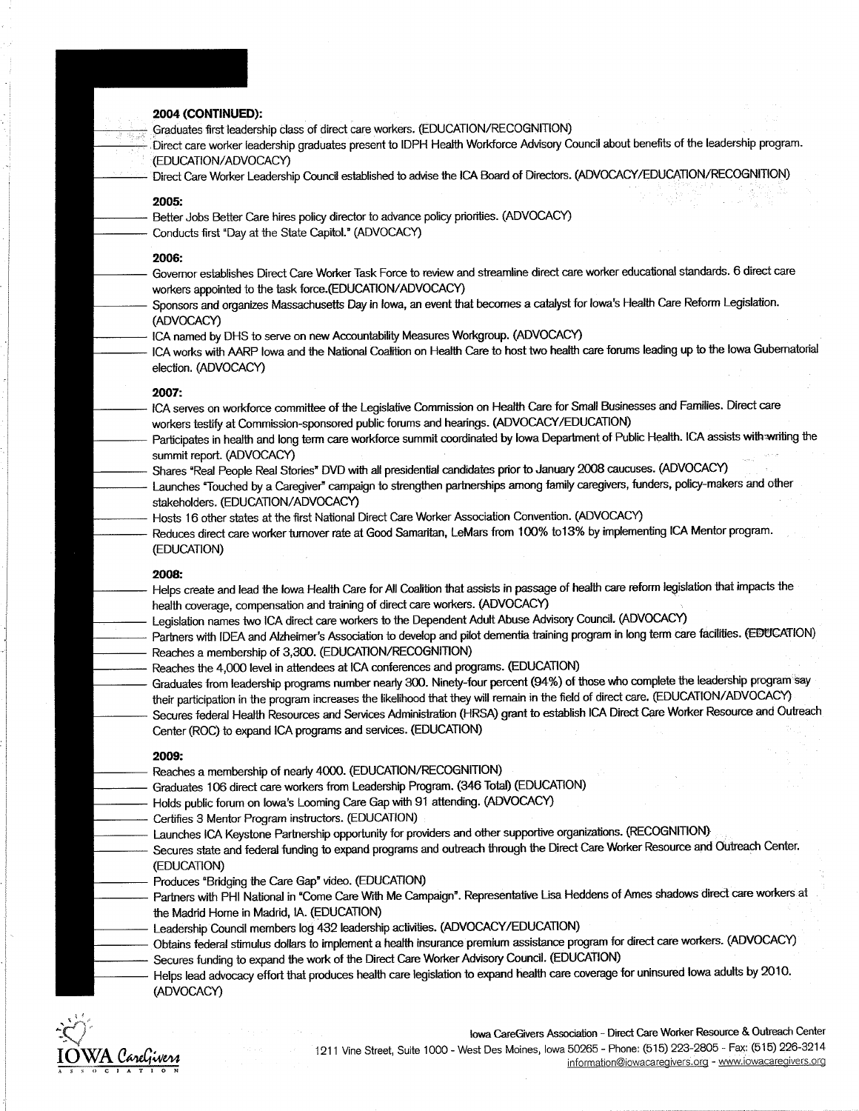#### 2004 (CONTINUED):

Graduates first leadership class of direct care workers. (EDUCATION/RECOGNITION)

Direct care worker leadership graduates present to IDPH Health Workforce Advisory Council about benefits of the leadership program. (EDUCATION/ADVOCACY)

Direct Care Worker Leadership Council established to advise the ICA Board of Directors. (ADVOCACY/EDUCATION/RECOGNITION)

#### 2005:

- Better Jobs Better Care hires policy director to advance policy priorities. (ADVOCACY)
- Conducts first "Day at the State Capitol." (ADVOCACY)

#### 2006:

- Governor establishes Direct Care Worker Task Force to review and streamline direct care worker educational standards. 6 direct care workers appointed to the task force.(EDUCATION/ADVOCACY)
- Sponsors and organizes Massachusetts Day in Iowa, an event that becomes a catalyst for Iowa's Health Care Reform Legislation. (ADVOCACY)
- ICA named by DHS to serve on new Accountability Measures Workgroup. (ADVOCACY)
- ICA works with AARP lowa and the National Coalition on Health Care to host two health care forums leading up to the lowa Gubernatorial election. (ADVOCACY)

#### 2007:

- ICA serves on workforce committee of the Legislative Commission on Health Care for Small Businesses and Families. Direct care workers testify at Commission-sponsored public forums and hearings. (ADVOCACY/EDUCATION)
- Participates in health and long term care workforce summit coordinated by lowa Department of Public Health. ICA assists with writing the summit report. (ADVOCACY)
- Shares "Real People Real Stories" DVD with all presidential candidates prior to January 2008 caucuses. (ADVOCACY)
- Launches "Touched by a Caregiver" campaign to strengthen partnerships among family caregivers, funders, policy-makers and other stakeholders. (EDUCATION/ADVOCACY)
- Hosts 16 other states at the first National Direct Care Worker Association Convention. (ADVOCACY)
	- Reduces direct care worker turnover rate at Good Samaritan, LeMars from 100% to13% by implementing ICA Mentor program. (EDUCATION)

#### 2008:

- Helps create and lead the lowa Health Care for All Coalition that assists in passage of health care reform legislation that impacts the health coverage, compensation and training of direct care workers. (ADVOCACY)
- Legislation names two ICA direct care workers to the Dependent Adult Abuse Advisory Council. (ADVOCACY)
- Partners with IDEA and Alzheimer's Association to develop and pilot dementia training program in long term care facilities. (EDUCATION) Reaches a membership of 3,300. (EDUCATION/RECOGNITION)
- Reaches the 4,000 level in attendees at ICA conferences and programs. (EDUCATION)
- Graduates from leadership programs number nearly 300. Ninety-four percent (94%) of those who complete the leadership program say their participation in the program increases the likelihood that they will remain in the field of direct care. (EDUCATION/ADVOCACY) Secures federal Health Resources and Services Administration (HRSA) grant to establish ICA Direct Care Worker Resource and Outreach Center (ROC) to expand ICA programs and services. (EDUCATION)

#### 2009:

- Reaches a membership of nearly 4000. (EDUCATION/RECOGNITION)
- Graduates 106 direct care workers from Leadership Program. (346 Total) (EDUCATION)
- Holds public forum on lowa's Looming Care Gap with 91 attending. (ADVOCACY)
- Certifies 3 Mentor Program instructors. (EDUCATION)
	- Launches ICA Keystone Partnership opportunity for providers and other supportive organizations. (RECOGNITION)
- Secures state and federal funding to expand programs and outreach through the Direct Care Worker Resource and Outreach Center. (EDUCATION)
- Produces "Bridging the Care Gap" video. (EDUCATION)
- Partners with PHI National in "Come Care With Me Campaign". Representative Lisa Heddens of Ames shadows direct care workers at the Madrid Home in Madrid, IA. (EDUCATION)
- Leadership Council members log 432 leadership activities. (ADVOCACY/EDUCATION)
- Obtains federal stimulus dollars to implement a health insurance premium assistance program for direct care workers. (ADVOCACY) Secures funding to expand the work of the Direct Care Worker Advisory Council. (EDUCATION)
- Helps lead advocacy effort that produces health care legislation to expand health care coverage for uninsured lowa adults by 2010. (ADVOCACY)



lowa CareGivers Association - Direct Care Worker Resource & Outreach Center 1211 Vine Street, Suite 1000 - West Des Moines, Iowa 50265 - Phone: (515) 223-2805 - Fax: (515) 226-3214 information@iowacaregivers.org - www.iowacaregivers.org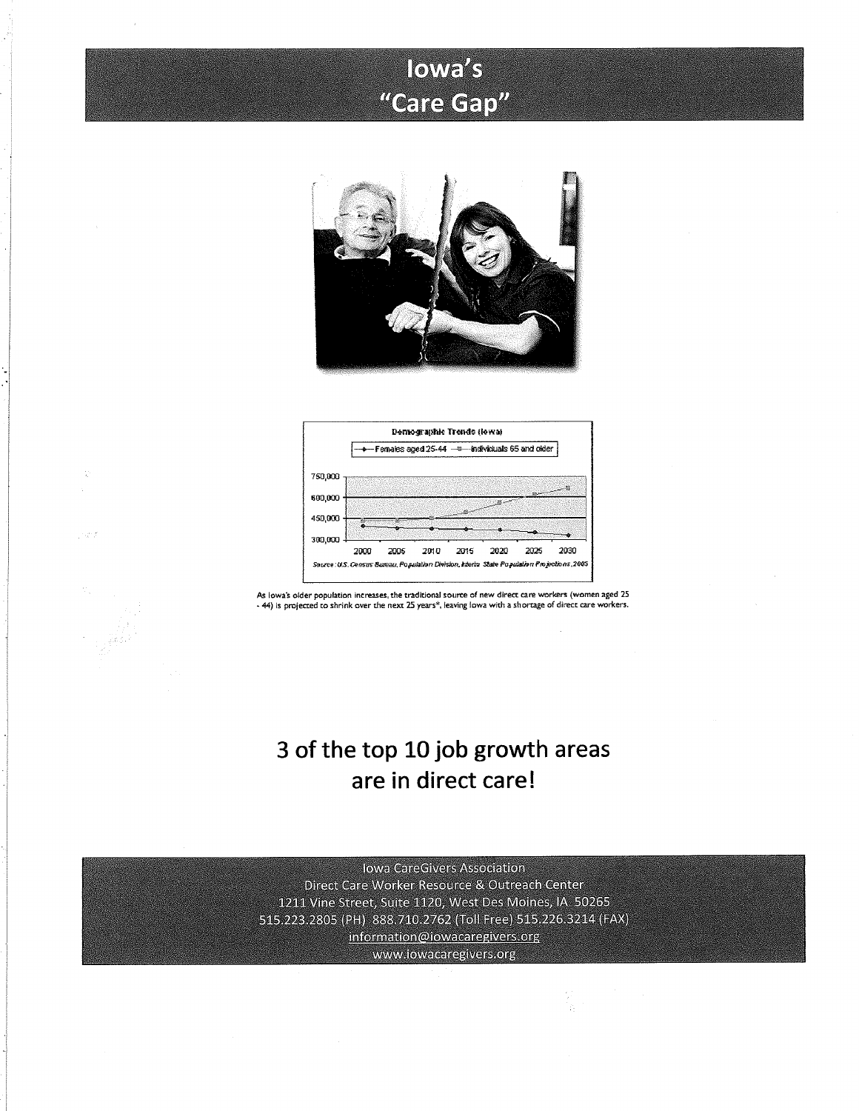## lowe's "Care Gap"





As lowa's older population increases, the traditional source of new direct care workers (women aged 25 - 44) is projected to shrink over the next 25 years\*, leaving lowa with a shortage of direct care workers.

### 3 of the top 10 job growth areas are in direct care!

**Jowa CareGivers Association** Direct Care Worker Resource & Outreach Center 1211 Vine Street, Suite 1120, West Des Moines, IA 50265 515.223.2805 (PH) 888.710.2762 (Toll Free) 515.226.3214 (FAX) information@iowacaregivers.org www.iowacaregivers.org